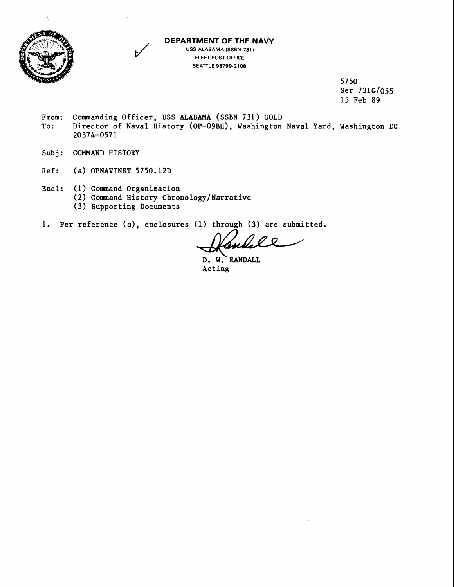

## **DEPARTMENT OF THE NAVY**

**USS ALABAMA (SSBN 731** ) **FLEET POST OFFICE SEATTLE 98799-2108** 

> 5750 Ser 731G/055 15 Feb 89

- From: Commanding Officer, USS ALABAMA (SSBN 731) GOLD<br>To: Director of Naval History (OP-09BH), Washington Director of Naval History (OP-09BH), Washington Naval Yard, Washington DC 20374-0571
- Subj: COMMAND HISTORY
- Ref: (a) OPNAVINST 5750.12D
- Encl: (1) Command Organization
	- (2) Command History Chronology/Narrative
	- (3) Supporting Documents
- 1. Per reference (a), enclosures (1) through (3) are submitted.

se

D. W? RANDALL Acting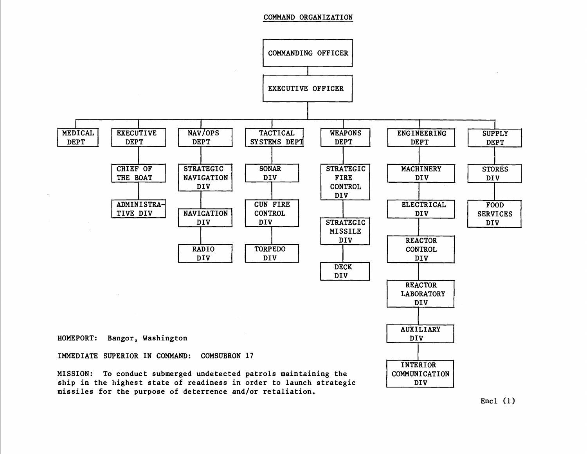## **COMMAND ORGANIZATION**



**Encl (1)**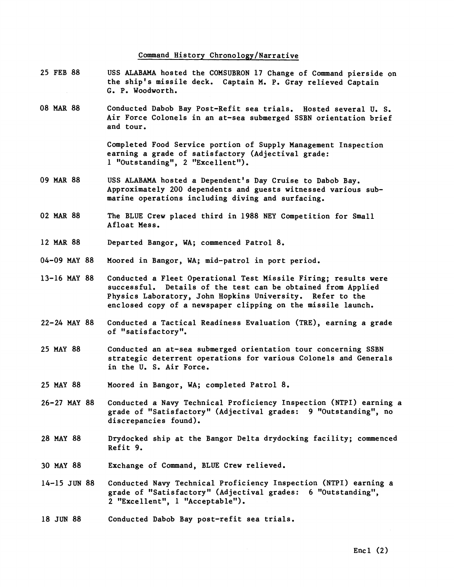## Command History Chronology/Narrative

- 25 FEB 88 USS ALABAMA hosted the COMSUBRON 17 Change of Command pierside on the ship's missile deck. Captain M. P. Gray relieved Captain **G,** P. Woodworth.
- 08 MAR 88 Conducted Dabob Bay Post-Refit sea trials. Hosted several U. S. Air Force Colonels in an at-sea submerged SSBN orientation brief and tour.

Completed Food Service portion of Supply Management Inspection earning a grade of satisfactory (Adjectival grade: 1 "Outstanding", 2 "Excellent"),

- 09 MAR 88 USS ALABAMA hosted a Dependent's Day Cruise to Dabob Bay. Approximately 200 dependents and guests witnessed various submarine operations including diving and surfacing.
- 02 MAR 88 The BLUE Crew placed third in 1988 NEY Competition for Small Afloat Mess.
- 12 MAR 88 Departed Bangor, WA; commenced Patrol 8.
- 04-09 MAY 88 Moored in Bangor, WA; mid-patrol in port period.
- 13-16 MAY 88 Conducted a Fleet Operational Test Missile Firing; results were successful. Details of the test can be obtained from Applied Physics Laboratory, John Hopkins University. Refer to the enclosed copy of a newspaper clipping on the missile launch.
- 22-24 MAY 88 Conducted a Tactical Readiness Evaluation (TRE), earning a grade of "satisfactory".
- 25 MAY 88 Conducted an at-sea submerged orientation tour concerning SSBN strategic deterrent operations for various Colonels and Generals in the U. S. Air Force.
- 25 MAY 88 Moored in Bangor, WA; completed Patrol 8.
- 26-27 MAY 88 Conducted a Navy Technical Proficiency Inspection (NTPI) earning a grade of "Satisfactory" (Adjectival grades: 9 "Outstanding", no discrepancies found).
- 28 MAY 88 Drydocked ship at the Bangor Delta drydocking facility; commenced Refit 9.
- 30 MAY 88 Exchange of Command, BLUE Crew relieved.
- 14-15 JUN 88 Conducted Navy Technical Proficiency Inspection (NTPI) earning a grade of "Satisfactory" (Adjectival grades: 6 "Outstanding", 2 "Excellent", 1 "Acceptable").
- Conducted Dabob Bay post-refit sea trials. 18 JUN 88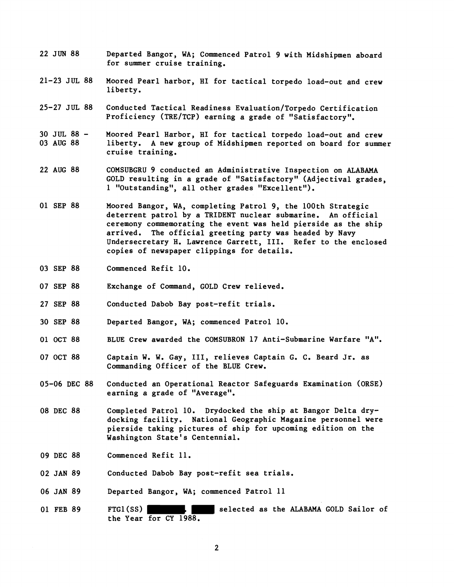- 22 JUN 88 Departed Bangor, WA; Commenced Patrol 9 with Midshipmen aboard for summer cruise training.
- 21-23 JUL 88 Moored Pearl harbor, HI for tactical torpedo load-out and crew liberty.
- 25-27 JUL 88 Conducted Tactical Readiness Evaluation/Torpedo Certification Proficiency (TRE/TCP) earning a grade of "Satisfactory".
- 30 JUL 88 03 AUG 88 Moored Pearl Harbor, HI for tactical torpedo load-out and crew liberty. A new group of Midshipmen reported on board for summer cruise training.
- 22 AUG 88 COMSUBGRU 9 conducted an Administrative Inspection on ALABAMA GOLD resulting in a grade of "Satisfactory" (Adjectival grades, 1 "Outstanding", all other grades "Excellent").
- 01 SEP 88 Moored Bangor, WA, completing Patrol 9, the 100th Strategic deterrent patrol by a TRIDENT nuclear submarine. An official ceremony commemorating the event was held pierside as the ship arrived. The official greeting party was headed by Navy Undersecretary H. Lawrence Garrett, 111. Refer to the enclosed copies of newspaper clippings for details.
- 03 SEP 88 Commenced Refit 10.
- 07 SEP 88 Exchange of Command, GOLD Crew relieved.
- 27 SEP 88 Conducted Dabob Bay post-refit trials.
- 30 SEP 88 Departed Bangor, WA; commenced Patrol 10.
- 01 OCT 88 BLUE Crew awarded the COMSUBRON 17 Anti-Submarine Warfare "A".
- 07 OCT 88 Captain W. W. Gay, 111, relieves Captain G. C. Beard Jr. as Commanding Officer of the BLUE Crew.
- 05-06 DEC 88 Conducted an Operational Reactor Safeguards Examination (ORSE) earning a grade of "Average".
- 08 DEC 88 Completed Patrol 10. Drydocked the ship at Bangor Delta drydocking facility. National Geographic Magazine personnel were pierside taking pictures of ship for upcoming edition on the Washington State's Centennial.
- 09 DEC 88 Commenced Refit 11.
- 02 JAN 89 Conducted Dabob Bay post-refit sea trials.
- 06 JAN 89 Departed Bangor, WA; commenced Patrol 11
- 01 FEB 89 FTGl(SS) **Selected** as the ALABAMA GOLD Sailor of the Year for CY 1988.